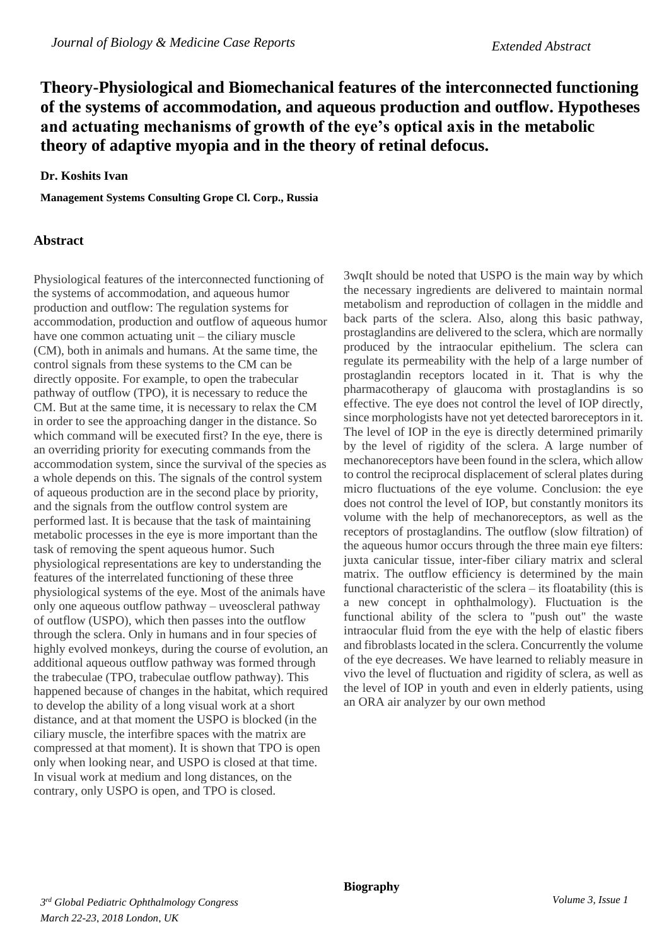## **Theory-Physiological and Biomechanical features of the interconnected functioning of the systems of accommodation, and aqueous production and outflow. Hypotheses and actuating mechanisms of growth of the eye's optical axis in the metabolic theory of adaptive myopia and in the theory of retinal defocus.**

## **Dr. Koshits Ivan**

**Management Systems Consulting Grope Cl. Corp., Russia**

## **Abstract**

Physiological features of the interconnected functioning of the systems of accommodation, and aqueous humor production and outflow: The regulation systems for accommodation, production and outflow of aqueous humor have one common actuating unit – the ciliary muscle (CM), both in animals and humans. At the same time, the control signals from these systems to the CM can be directly opposite. For example, to open the trabecular pathway of outflow (TPO), it is necessary to reduce the CM. But at the same time, it is necessary to relax the CM in order to see the approaching danger in the distance. So which command will be executed first? In the eye, there is an overriding priority for executing commands from the accommodation system, since the survival of the species as a whole depends on this. The signals of the control system of aqueous production are in the second place by priority, and the signals from the outflow control system are performed last. It is because that the task of maintaining metabolic processes in the eye is more important than the task of removing the spent aqueous humor. Such physiological representations are key to understanding the features of the interrelated functioning of these three physiological systems of the eye. Most of the animals have only one aqueous outflow pathway – uveoscleral pathway of outflow (USPO), which then passes into the outflow through the sclera. Only in humans and in four species of highly evolved monkeys, during the course of evolution, an additional aqueous outflow pathway was formed through the trabeculae (TPO, trabeculae outflow pathway). This happened because of changes in the habitat, which required to develop the ability of a long visual work at a short distance, and at that moment the USPO is blocked (in the ciliary muscle, the interfibre spaces with the matrix are compressed at that moment). It is shown that TPO is open only when looking near, and USPO is closed at that time. In visual work at medium and long distances, on the contrary, only USPO is open, and TPO is closed.

3wqIt should be noted that USPO is the main way by which the necessary ingredients are delivered to maintain normal metabolism and reproduction of collagen in the middle and back parts of the sclera. Also, along this basic pathway, prostaglandins are delivered to the sclera, which are normally produced by the intraocular epithelium. The sclera can regulate its permeability with the help of a large number of prostaglandin receptors located in it. That is why the pharmacotherapy of glaucoma with prostaglandins is so effective. The eye does not control the level of IOP directly, since morphologists have not yet detected baroreceptors in it. The level of IOP in the eye is directly determined primarily by the level of rigidity of the sclera. A large number of mechanoreceptors have been found in the sclera, which allow to control the reciprocal displacement of scleral plates during micro fluctuations of the eye volume. Conclusion: the eye does not control the level of IOP, but constantly monitors its volume with the help of mechanoreceptors, as well as the receptors of prostaglandins. The outflow (slow filtration) of the aqueous humor occurs through the three main eye filters: juxta canicular tissue, inter-fiber ciliary matrix and scleral matrix. The outflow efficiency is determined by the main functional characteristic of the sclera – its floatability (this is a new concept in ophthalmology). Fluctuation is the functional ability of the sclera to "push out" the waste intraocular fluid from the eye with the help of elastic fibers and fibroblasts located in the sclera. Concurrently the volume of the eye decreases. We have learned to reliably measure in vivo the level of fluctuation and rigidity of sclera, as well as the level of IOP in youth and even in elderly patients, using an ORA air analyzer by our own method